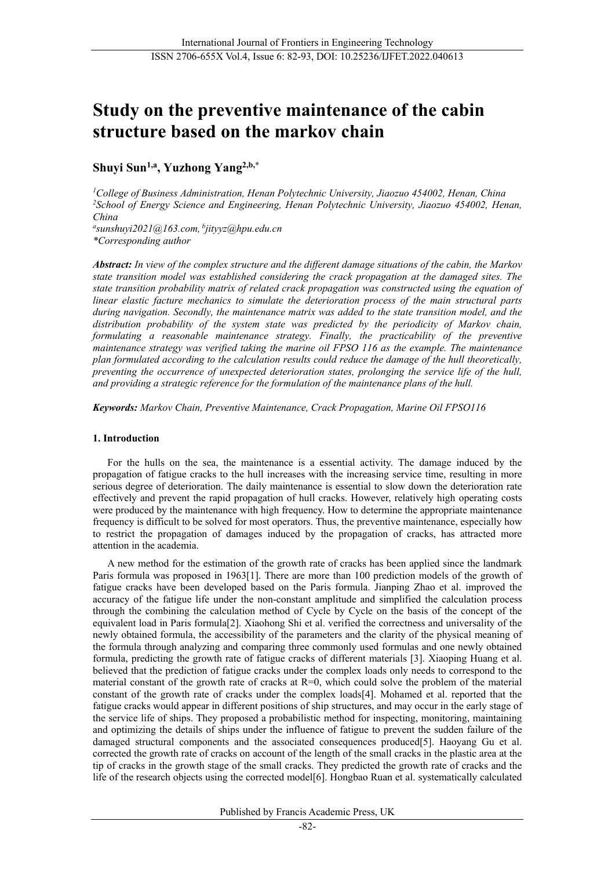# **Study on the preventive maintenance of the cabin structure based on the markov chain**

# **Shuyi Sun1,a, Yuzhong Yang2,b,\***

*1 College of Business Administration, Henan Polytechnic University, Jiaozuo 454002, Henan, China 2 School of Energy Science and Engineering, Henan Polytechnic University, Jiaozuo 454002, Henan, China*

*a sunshuyi2021@163.com, <sup>b</sup> jityyz@hpu.edu.cn \*Corresponding author*

*Abstract: In view of the complex structure and the different damage situations of the cabin, the Markov state transition model was established considering the crack propagation at the damaged sites. The state transition probability matrix of related crack propagation was constructed using the equation of linear elastic facture mechanics to simulate the deterioration process of the main structural parts during navigation. Secondly, the maintenance matrix was added to the state transition model, and the distribution probability of the system state was predicted by the periodicity of Markov chain, formulating a reasonable maintenance strategy. Finally, the practicability of the preventive maintenance strategy was verified taking the marine oil FPSO 116 as the example. The maintenance plan formulated according to the calculation results could reduce the damage of the hull theoretically, preventing the occurrence of unexpected deterioration states, prolonging the service life of the hull, and providing a strategic reference for the formulation of the maintenance plans of the hull.*

*Keywords: Markov Chain, Preventive Maintenance, Crack Propagation, Marine Oil FPSO116*

# **1. Introduction**

For the hulls on the sea, the maintenance is a essential activity. The damage induced by the propagation of fatigue cracks to the hull increases with the increasing service time, resulting in more serious degree of deterioration. The daily maintenance is essential to slow down the deterioration rate effectively and prevent the rapid propagation of hull cracks. However, relatively high operating costs were produced by the maintenance with high frequency. How to determine the appropriate maintenance frequency is difficult to be solved for most operators. Thus, the preventive maintenance, especially how to restrict the propagation of damages induced by the propagation of cracks, has attracted more attention in the academia.

A new method for the estimation of the growth rate of cracks has been applied since the landmark Paris formula was proposed in 196[3\[1\].](#page-10-0) There are more than 100 prediction models of the growth of fatigue cracks have been developed based on the Paris formula. Jianping Zhao et al. improved the accuracy of the fatigue life under the non-constant amplitude and simplified the calculation process through the combining the calculation method of Cycle by Cycle on the basis of the concept of the equivalent load in Paris formula[2]. Xiaohong Shi et al. verified the correctness and universality of the newly obtained formula, the accessibility of the parameters and the clarity of the physical meaning of the formula through analyzing and comparing three commonly used formulas and one newly obtained formula, predicting the growth rate of fatigue cracks of different materials [3]. Xiaoping Huang et al. believed that the prediction of fatigue cracks under the complex loads only needs to correspond to the material constant of the growth rate of cracks at R=0, which could solve the problem of the material constant of the growth rate of cracks under the complex load[s\[4\].](#page-10-1) Mohamed et al. reported that the fatigue cracks would appear in different positions of ship structures, and may occur in the early stage of the service life of ships. They proposed a probabilistic method for inspecting, monitoring, maintaining and optimizing the details of ships under the influence of fatigue to prevent the sudden failure of the damaged structural components and the associated consequences produce[d\[5\].](#page-10-2) Haoyang Gu et al. corrected the growth rate of cracks on account of the length of the small cracks in the plastic area at the tip of cracks in the growth stage of the small cracks. They predicted the growth rate of cracks and the life of the research objects using the corrected mode[l\[6\].](#page-10-3) Hongbao Ruan et al. systematically calculated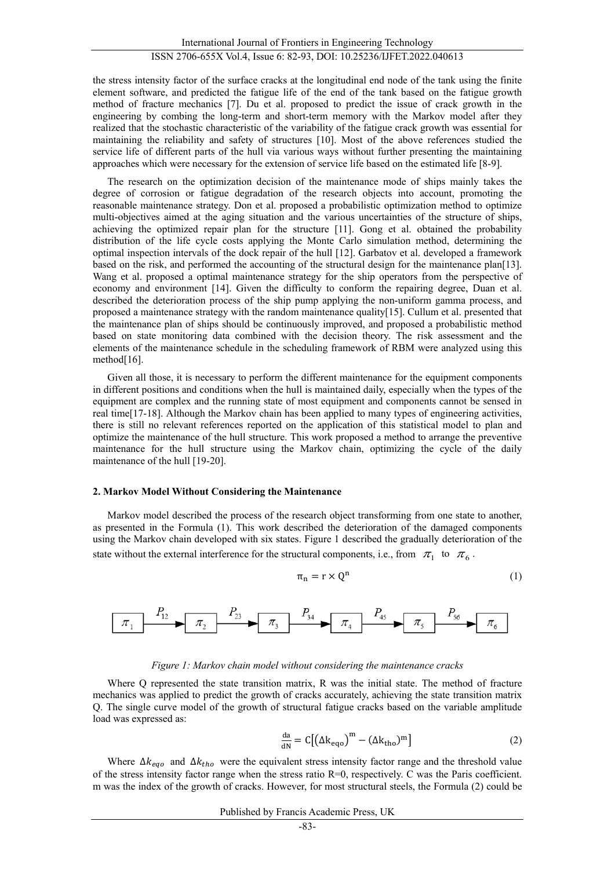the stress intensity factor of the surface cracks at the longitudinal end node of the tank using the finite element software, and predicted the fatigue life of the end of the tank based on the fatigue growth method of fracture mechanics [\[7\].](#page-11-0) Du et al. proposed to predict the issue of crack growth in the engineering by combing the long-term and short-term memory with the Markov model after they realized that the stochastic characteristic of the variability of the fatigue crack growth was essential for maintaining the reliability and safety of structures [\[10\].](#page-11-1) Most of the above references studied the service life of different parts of the hull via various ways without further presenting the maintaining approaches which were necessary for the extension of service life based on the estimated life [8-9].

The research on the optimization decision of the maintenance mode of ships mainly takes the degree of corrosion or fatigue degradation of the research objects into account, promoting the reasonable maintenance strategy. Don et al. proposed a probabilistic optimization method to optimize multi-objectives aimed at the aging situation and the various uncertainties of the structure of ships, achieving the optimized repair plan for the structure [11]. Gong et al. obtained the probability distribution of the life cycle costs applying the Monte Carlo simulation method, determining the optimal inspection intervals of the dock repair of the hull [\[12\].](#page-11-2) Garbatov et al. developed a framework based on the risk, and performed the accounting of the structural design for the maintenance pla[n\[13\].](#page-11-3) Wang et al. proposed a optimal maintenance strategy for the ship operators from the perspective of economy and environment [14]. Given the difficulty to conform the repairing degree, Duan et al. described the deterioration process of the ship pump applying the non-uniform gamma process, and proposed a maintenance strategy with the random maintenance qualit[y\[15\].](#page-11-4) Cullum et al. presented that the maintenance plan of ships should be continuously improved, and proposed a probabilistic method based on state monitoring data combined with the decision theory. The risk assessment and the elements of the maintenance schedule in the scheduling framework of RBM were analyzed using this method<sup>[16]</sup>.

Given all those, it is necessary to perform the different maintenance for the equipment components in different positions and conditions when the hull is maintained daily, especially when the types of the equipment are complex and the running state of most equipment and components cannot be sensed in real time[17-18]. Although the Markov chain has been applied to many types of engineering activities, there is still no relevant references reported on the application of this statistical model to plan and optimize the maintenance of the hull structure. This work proposed a method to arrange the preventive maintenance for the hull structure using the Markov chain, optimizing the cycle of the daily maintenance of the hull [19-20].

#### **2. Markov Model Without Considering the Maintenance**

Markov model described the process of the research object transforming from one state to another, as presented in the Formula (1). This work described the deterioration of the damaged components using the Markov chain developed with six states. Figure 1 described the gradually deterioration of the state without the external interference for the structural components, i.e., from  $\pi_1$  to  $\pi_6$ .

$$
\pi_n = r \times Q^n \tag{1}
$$



#### *Figure 1: Markov chain model without considering the maintenance cracks*

Where Q represented the state transition matrix, R was the initial state. The method of fracture mechanics was applied to predict the growth of cracks accurately, achieving the state transition matrix Q. The single curve model of the growth of structural fatigue cracks based on the variable amplitude load was expressed as:

$$
\frac{da}{dN} = C\left[\left(\Delta k_{eqo}\right)^{m} - \left(\Delta k_{tho}\right)^{m}\right]
$$
\n(2)

Where  $\Delta k_{eqo}$  and  $\Delta k_{tho}$  were the equivalent stress intensity factor range and the threshold value of the stress intensity factor range when the stress ratio R=0, respectively. C was the Paris coefficient. m was the index of the growth of cracks. However, for most structural steels, the Formula (2) could be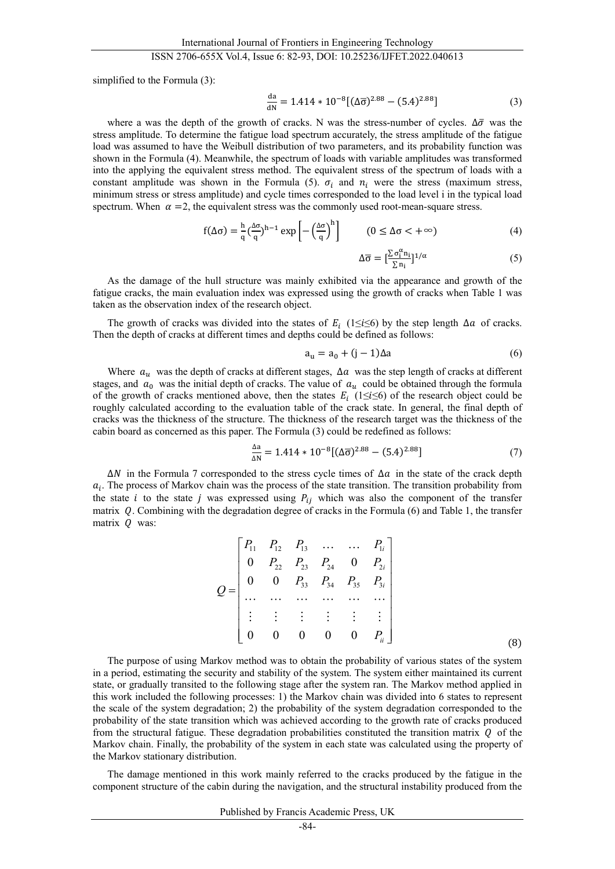simplified to the Formula (3):

$$
\frac{da}{dN} = 1.414 \times 10^{-8} [(\Delta \overline{\sigma})^{2.88} - (5.4)^{2.88}]
$$
 (3)

where a was the depth of the growth of cracks. N was the stress-number of cycles.  $\Delta\bar{\sigma}$  was the stress amplitude. To determine the fatigue load spectrum accurately, the stress amplitude of the fatigue load was assumed to have the Weibull distribution of two parameters, and its probability function was shown in the Formula (4). Meanwhile, the spectrum of loads with variable amplitudes was transformed into the applying the equivalent stress method. The equivalent stress of the spectrum of loads with a constant amplitude was shown in the Formula (5).  $\sigma_i$  and  $n_i$  were the stress (maximum stress, minimum stress or stress amplitude) and cycle times corresponded to the load level i in the typical load spectrum. When  $\alpha =2$ , the equivalent stress was the commonly used root-mean-square stress.

$$
f(\Delta \sigma) = \frac{h}{q} \left(\frac{\Delta \sigma}{q}\right)^{h-1} \exp\left[-\left(\frac{\Delta \sigma}{q}\right)^h\right] \qquad (0 \le \Delta \sigma < +\infty) \tag{4}
$$

$$
\Delta \overline{\sigma} = [\frac{\sum \sigma_i^{\alpha} n_i}{\sum n_i}]^{1/\alpha}
$$
 (5)

As the damage of the hull structure was mainly exhibited via the appearance and growth of the fatigue cracks, the main evaluation index was expressed using the growth of cracks when Table 1 was taken as the observation index of the research object.

The growth of cracks was divided into the states of  $E_i$  (1≤i≤6) by the step length  $\Delta a$  of cracks. Then the depth of cracks at different times and depths could be defined as follows:

$$
a_{u} = a_{0} + (j - 1)\Delta a \tag{6}
$$

Where  $a_u$  was the depth of cracks at different stages,  $\Delta a$  was the step length of cracks at different stages, and  $a_0$  was the initial depth of cracks. The value of  $a_u$  could be obtained through the formula of the growth of cracks mentioned above, then the states  $E_i$  (1≤i≤6) of the research object could be roughly calculated according to the evaluation table of the crack state. In general, the final depth of cracks was the thickness of the structure. The thickness of the research target was the thickness of the cabin board as concerned as this paper. The Formula (3) could be redefined as follows:

$$
\frac{\Delta a}{\Delta N} = 1.414 \times 10^{-8} [(\Delta \overline{\sigma})^{2.88} - (5.4)^{2.88}] \tag{7}
$$

 $\Delta N$  in the Formula 7 corresponded to the stress cycle times of  $\Delta a$  in the state of the crack depth  $a_i$ . The process of Markov chain was the process of the state transition. The transition probability from the state *i* to the state *j* was expressed using  $P_{ij}$  which was also the component of the transfer matrix  $Q$ . Combining with the degradation degree of cracks in the Formula (6) and Table 1, the transfer matrix  $Q$  was:

$$
Q = \begin{bmatrix} P_{11} & P_{12} & P_{13} & \cdots & \cdots & P_{1i} \\ 0 & P_{22} & P_{23} & P_{24} & 0 & P_{2i} \\ 0 & 0 & P_{33} & P_{34} & P_{35} & P_{3i} \\ \cdots & \cdots & \cdots & \cdots & \cdots & \cdots \\ \vdots & \vdots & \vdots & \vdots & \vdots & \vdots \\ 0 & 0 & 0 & 0 & 0 & P_{ii} \end{bmatrix}
$$
(8)

The purpose of using Markov method was to obtain the probability of various states of the system in a period, estimating the security and stability of the system. The system either maintained its current state, or gradually transited to the following stage after the system ran. The Markov method applied in this work included the following processes: 1) the Markov chain was divided into 6 states to represent the scale of the system degradation; 2) the probability of the system degradation corresponded to the probability of the state transition which was achieved according to the growth rate of cracks produced from the structural fatigue. These degradation probabilities constituted the transition matrix  $\theta$  of the Markov chain. Finally, the probability of the system in each state was calculated using the property of the Markov stationary distribution.

The damage mentioned in this work mainly referred to the cracks produced by the fatigue in the component structure of the cabin during the navigation, and the structural instability produced from the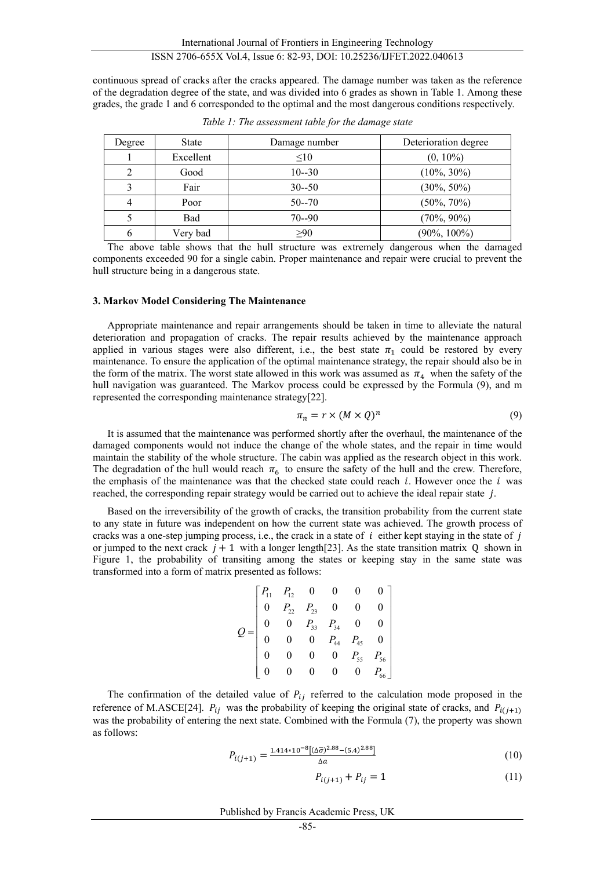continuous spread of cracks after the cracks appeared. The damage number was taken as the reference of the degradation degree of the state, and was divided into 6 grades as shown in Table 1. Among these grades, the grade 1 and 6 corresponded to the optimal and the most dangerous conditions respectively.

| Degree | <b>State</b> | Damage number | Deterioration degree |
|--------|--------------|---------------|----------------------|
|        | Excellent    | $\leq 10$     | $(0, 10\%)$          |
|        | Good         | $10 - 30$     | $(10\%, 30\%)$       |
|        | Fair         | $30 - 50$     | $(30\%, 50\%)$       |
|        | Poor         | $50 - 70$     | $(50\%, 70\%)$       |
|        | Bad          | $70 - 90$     | $(70\%, 90\%)$       |
|        | Very bad     | >90           | $(90\%, 100\%)$      |

*Table 1: The assessment table for the damage state*

The above table shows that the hull structure was extremely dangerous when the damaged components exceeded 90 for a single cabin. Proper maintenance and repair were crucial to prevent the hull structure being in a dangerous state.

#### **3. Markov Model Considering The Maintenance**

Appropriate maintenance and repair arrangements should be taken in time to alleviate the natural deterioration and propagation of cracks. The repair results achieved by the maintenance approach applied in various stages were also different, i.e., the best state  $\pi_1$  could be restored by every maintenance. To ensure the application of the optimal maintenance strategy, the repair should also be in the form of the matrix. The worst state allowed in this work was assumed as  $\pi_4$  when the safety of the hull navigation was guaranteed. The Markov process could be expressed by the Formula (9), and m represented the corresponding maintenance strategy[22].

$$
\pi_n = r \times (M \times Q)^n \tag{9}
$$

It is assumed that the maintenance was performed shortly after the overhaul, the maintenance of the damaged components would not induce the change of the whole states, and the repair in time would maintain the stability of the whole structure. The cabin was applied as the research object in this work. The degradation of the hull would reach  $\pi_6$  to ensure the safety of the hull and the crew. Therefore, the emphasis of the maintenance was that the checked state could reach  $i$ . However once the  $i$  was reached, the corresponding repair strategy would be carried out to achieve the ideal repair state  $j$ .

Based on the irreversibility of the growth of cracks, the transition probability from the current state to any state in future was independent on how the current state was achieved. The growth process of cracks was a one-step jumping process, i.e., the crack in a state of  $i$  either kept staying in the state of  $j$ or jumped to the next crack  $j + 1$  with a longer length[23]. As the state transition matrix Q shown in Figure 1, the probability of transiting among the states or keeping stay in the same state was transformed into a form of matrix presented as follows:

$$
Q = \begin{bmatrix} P_{11} & P_{12} & 0 & 0 & 0 & 0 \\ 0 & P_{22} & P_{23} & 0 & 0 & 0 \\ 0 & 0 & P_{33} & P_{34} & 0 & 0 \\ 0 & 0 & 0 & P_{44} & P_{45} & 0 \\ 0 & 0 & 0 & 0 & P_{55} & P_{56} \\ 0 & 0 & 0 & 0 & 0 & P_{66} \end{bmatrix}
$$

The confirmation of the detailed value of  $P_{ij}$  referred to the calculation mode proposed in the reference of M.ASCE[24].  $P_{ij}$  was the probability of keeping the original state of cracks, and  $P_{i(j+1)}$ was the probability of entering the next state. Combined with the Formula (7), the property was shown as follows:

$$
P_{i(j+1)} = \frac{1.414 \times 10^{-8} [(\Delta \overline{\sigma})^{2.88} - (5.4)^{2.88}]}{\Delta a}
$$
(10)

$$
P_{i(j+1)} + P_{ij} = 1 \tag{11}
$$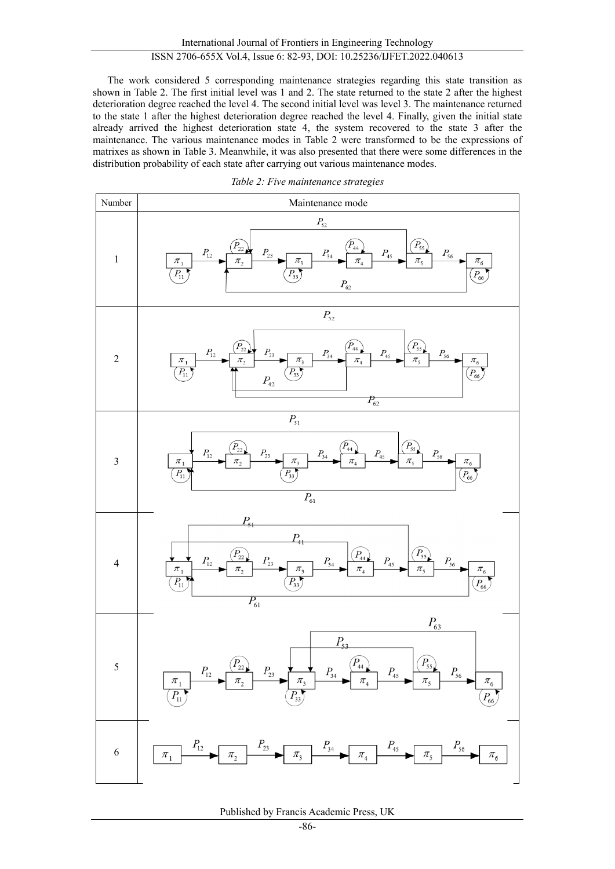The work considered 5 corresponding maintenance strategies regarding this state transition as shown in Table 2. The first initial level was 1 and 2. The state returned to the state 2 after the highest deterioration degree reached the level 4. The second initial level was level 3. The maintenance returned to the state 1 after the highest deterioration degree reached the level 4. Finally, given the initial state already arrived the highest deterioration state 4, the system recovered to the state 3 after the maintenance. The various maintenance modes in Table 2 were transformed to be the expressions of matrixes as shown in Table 3. Meanwhile, it was also presented that there were some differences in the distribution probability of each state after carrying out various maintenance modes.



*Table 2: Five maintenance strategies*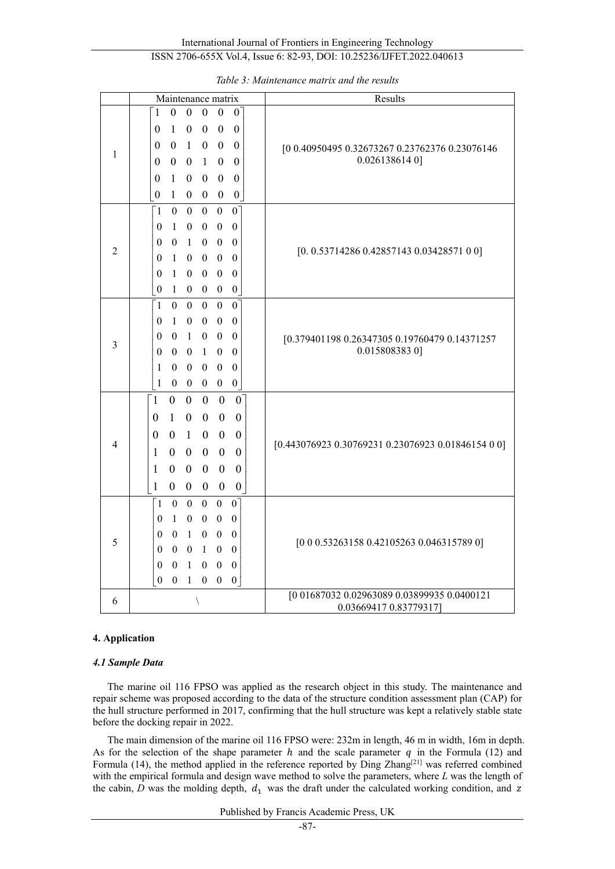International Journal of Frontiers in Engineering Technology ISSN 2706-655X Vol.4, Issue 6: 82-93, DOI: 10.25236/IJFET.2022.040613

|                | Maintenance matrix                                                                                                                                                                                                                                                                                                                                                                                                                                                                                                                                                                                                                                                                             | Results                                                               |  |  |
|----------------|------------------------------------------------------------------------------------------------------------------------------------------------------------------------------------------------------------------------------------------------------------------------------------------------------------------------------------------------------------------------------------------------------------------------------------------------------------------------------------------------------------------------------------------------------------------------------------------------------------------------------------------------------------------------------------------------|-----------------------------------------------------------------------|--|--|
| 1              | $\theta$<br>$\boldsymbol{0}$<br>$\theta$<br>$\mathbf{1}$<br>$\boldsymbol{0}$<br>$\overline{0}$<br>1<br>$\boldsymbol{0}$<br>$\boldsymbol{0}$<br>$\boldsymbol{0}$<br>$\boldsymbol{0}$<br>$\theta$<br>$\boldsymbol{0}$<br>$\boldsymbol{0}$<br>$\mathbf{1}$<br>$\boldsymbol{0}$<br>$\boldsymbol{0}$<br>$\theta$<br>$\mathbf{1}$<br>$\theta$<br>$\boldsymbol{0}$<br>$\mathbf{0}$<br>$\theta$<br>$\overline{0}$<br>1<br>$\theta$<br>$\boldsymbol{0}$<br>$\mathbf{0}$<br>$\theta$<br>$\boldsymbol{0}$<br>$\boldsymbol{0}$<br>$\boldsymbol{0}$<br>$\boldsymbol{0}$<br>$\boldsymbol{0}$<br>$\mathbf{1}$<br>$\overline{0}$                                                                               | [0 0.40950495 0.32673267 0.23762376 0.23076146<br>$0.0261386140$ ]    |  |  |
| $\overline{2}$ | $\overline{0}$<br>1<br>$\theta$<br>$\mathbf{0}$<br>$\Omega$<br>$\mathbf{0}$<br>$\mathbf{1}$<br>$\mathbf{0}$<br>$\mathbf{0}$<br>$\boldsymbol{0}$<br>$\mathbf{0}$<br>$\boldsymbol{0}$<br>$\boldsymbol{0}$<br>$\mathbf{1}$<br>$\boldsymbol{0}$<br>$\boldsymbol{0}$<br>$\boldsymbol{0}$<br>$\boldsymbol{0}$<br>$\boldsymbol{0}$<br>1<br>$\mathbf{0}$<br>$\overline{0}$<br>$\theta$<br>$\boldsymbol{0}$<br>$\boldsymbol{0}$<br>$\boldsymbol{0}$<br>1<br>$\mathbf{0}$<br>$\theta$<br>$\boldsymbol{0}$<br>$\boldsymbol{0}$<br>$\boldsymbol{0}$<br>$\boldsymbol{0}$<br>$\boldsymbol{0}$<br>1<br>$\bf{0}$                                                                                               | $[0. 0.53714286 0.42857143 0.03428571 0 0]$                           |  |  |
| 3              | $\mathbf{1}$<br>$\overline{0}$<br>$\overline{0}$<br>$\overline{0}$<br>$\overline{0}$<br>$\overline{0}$<br>$\boldsymbol{0}$<br>$\mathbf{1}$<br>$\mathbf{0}$<br>$\mathbf{0}$<br>$\theta$<br>$\theta$<br>$\boldsymbol{0}$<br>$\overline{0}$<br>$\mathbf{1}$<br>$\boldsymbol{0}$<br>$\boldsymbol{0}$<br>$\theta$<br>$\theta$<br>$\mathbf{1}$<br>$\boldsymbol{0}$<br>$\theta$<br>$\theta$<br>$\boldsymbol{0}$<br>$\theta$<br>$\boldsymbol{0}$<br>1<br>$\Omega$<br>$\boldsymbol{0}$<br>$\boldsymbol{0}$<br>$\mathbf{1}$<br>$\boldsymbol{0}$<br>$\boldsymbol{0}$<br>$\boldsymbol{0}$<br>$\boldsymbol{0}$<br>$\overline{0}$                                                                            | [0.379401198 0.26347305 0.19760479 0.14371257<br>0.0158083830]        |  |  |
| 4              | $\overline{1}$<br>$\boldsymbol{0}$<br>$\boldsymbol{0}$<br>$\boldsymbol{0}$<br>$\boldsymbol{0}$<br>$\overline{0}$<br>$\mathbf{1}$<br>$\boldsymbol{0}$<br>$\boldsymbol{0}$<br>$\boldsymbol{0}$<br>$\boldsymbol{0}$<br>$\boldsymbol{0}$<br>$\overline{0}$<br>$\mathbf{1}$<br>$\theta$<br>$\boldsymbol{0}$<br>$\boldsymbol{0}$<br>$\theta$<br>$\boldsymbol{0}$<br>$\boldsymbol{0}$<br>$\boldsymbol{0}$<br>$\mathbf{1}$<br>$\boldsymbol{0}$<br>$\boldsymbol{0}$<br>$\mathbf{0}$<br>$\boldsymbol{0}$<br>$\boldsymbol{0}$<br>$\boldsymbol{0}$<br>$\mathbf{1}$<br>$\boldsymbol{0}$<br>$\mathbf{1}$<br>$\boldsymbol{0}$<br>$\boldsymbol{0}$<br>$\boldsymbol{0}$<br>$\boldsymbol{0}$<br>$\boldsymbol{0}$ | $[0.4430769230.307692310.230769230.0184615400]$                       |  |  |
| 5              | $\boldsymbol{0}$<br>$\theta$<br>$\boldsymbol{0}$<br>$\mathbf{1}$<br>$\overline{0}$<br>$\overline{0}$<br>$\boldsymbol{0}$<br>$\boldsymbol{0}$<br>1<br>$\boldsymbol{0}$<br>$\boldsymbol{0}$<br>$\overline{0}$<br>$\boldsymbol{0}$<br>$\theta$<br>$\mathbf{1}$<br>$\mathbf{0}$<br>$\theta$<br>$\mathbf{0}$<br>$\boldsymbol{0}$<br>$\mathbf{0}$<br>$\mathbf{1}$<br>$\theta$<br>$\boldsymbol{0}$<br>$\mathbf{0}$<br>$\boldsymbol{0}$<br>$\boldsymbol{0}$<br>$\mathbf{1}$<br>$\boldsymbol{0}$<br>0<br>$\boldsymbol{0}$<br>$\mathbf{0}$<br>$\boldsymbol{0}$<br>$\boldsymbol{0}$<br>0<br>1<br>$\boldsymbol{0}$                                                                                         | [0 0 0.53263158 0.42105263 0.046315789 0]                             |  |  |
| 6              | $\backslash$                                                                                                                                                                                                                                                                                                                                                                                                                                                                                                                                                                                                                                                                                   | [0 01687032 0.02963089 0.03899935 0.0400121<br>0.03669417 0.83779317] |  |  |

*Table 3: Maintenance matrix and the results*

### **4. Application**

#### *4.1 Sample Data*

The marine oil 116 FPSO was applied as the research object in this study. The maintenance and repair scheme was proposed according to the data of the structure condition assessment plan (CAP) for the hull structure performed in 2017, confirming that the hull structure was kept a relatively stable state before the docking repair in 2022.

The main dimension of the marine oil 116 FPSO were: 232m in length, 46 m in width, 16m in depth. As for the selection of the shape parameter  $h$  and the scale parameter  $q$  in the Formula (12) and Formula (14), the method applied in the reference reported by Ding Zhang<sup>[21]</sup> was referred combined with the empirical formula and design wave method to solve the parameters, where *L* was the length of the cabin,  $D$  was the molding depth,  $d_1$  was the draft under the calculated working condition, and  $z$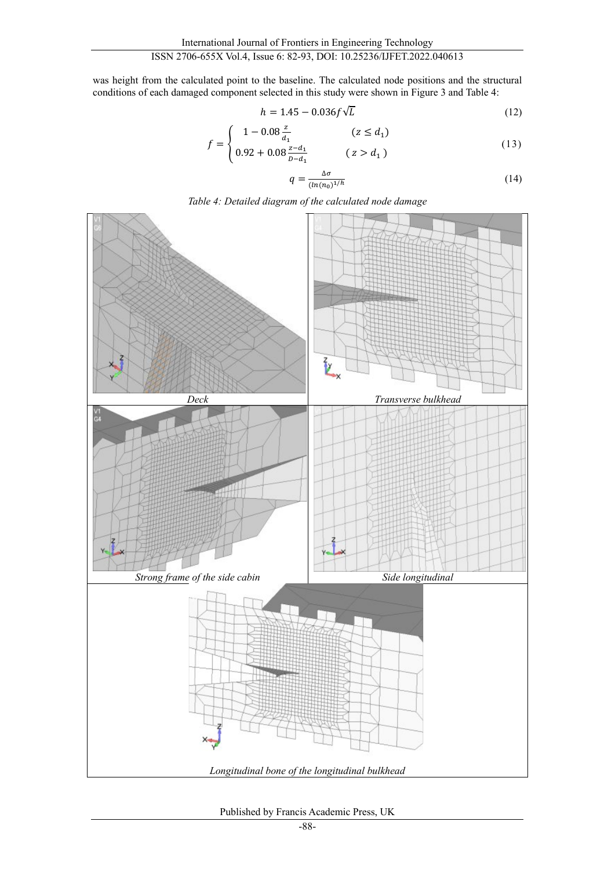was height from the calculated point to the baseline. The calculated node positions and the structural conditions of each damaged component selected in this study were shown in Figure 3 and Table 4:

$$
h = 1.45 - 0.036f\sqrt{L}
$$
 (12)

$$
f = \begin{cases} 1 - 0.08 \frac{z}{d_1} & (z \le d_1) \\ 0.92 + 0.08 \frac{z - d_1}{b - d_1} & (z > d_1) \end{cases}
$$
(13)

$$
q = \frac{\Delta \sigma}{(\ln(n_0)^{1/h}} \tag{14}
$$





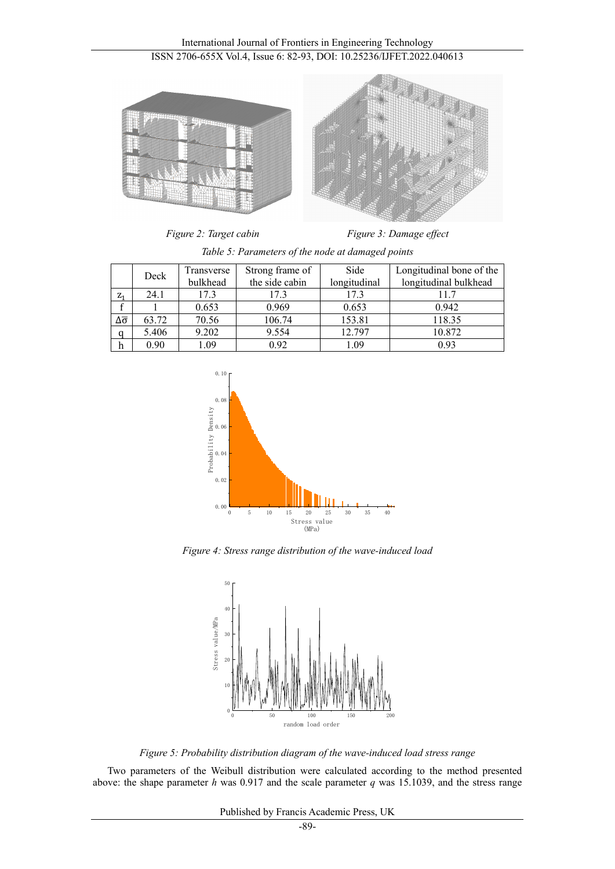International Journal of Frontiers in Engineering Technology ISSN 2706-655X Vol.4, Issue 6: 82-93, DOI: 10.25236/IJFET.2022.040613



*Figure 2: Target cabin* Figure 3: Damage effect

|       | Deck  | Transverse | Strong frame of | Side         | Longitudinal bone of the |
|-------|-------|------------|-----------------|--------------|--------------------------|
|       |       | bulkhead   | the side cabin  | longitudinal | longitudinal bulkhead    |
| $Z_1$ | 24.1  | 17.3       | 17.3            | 17.3         | 11.7                     |
|       |       | 0.653      | 0.969           | 0.653        | 0.942                    |
| Δσ    | 63.72 | 70.56      | 106.74          | 153.81       | 118.35                   |
| a     | 5.406 | 9.202      | 9.554           | 12.797       | 10.872                   |
| h     | 0.90  | 1.09       | 0.92            | 1.09         | 0.93                     |

*Table 5: Parameters of the node at damaged points*



*Figure 4: Stress range distribution of the wave-induced load*



*Figure 5: Probability distribution diagram of the wave-induced load stress range*

Two parameters of the Weibull distribution were calculated according to the method presented above: the shape parameter *h* was 0.917 and the scale parameter *q* was 15.1039, and the stress range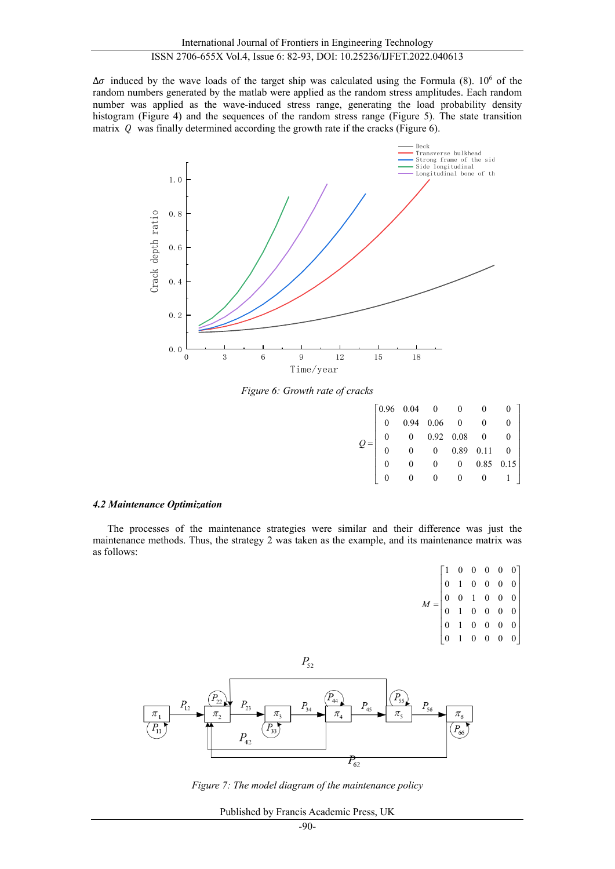$\Delta\sigma$  induced by the wave loads of the target ship was calculated using the Formula (8). 10<sup>6</sup> of the random numbers generated by the matlab were applied as the random stress amplitudes. Each random number was applied as the wave-induced stress range, generating the load probability density histogram (Figure 4) and the sequences of the random stress range (Figure 5). The state transition matrix  $Q$  was finally determined according the growth rate if the cracks (Figure 6).



*Figure 6: Growth rate of cracks*

|  |  |  | $\begin{bmatrix} 0.96 & 0.04 & 0 & 0 \\ 0 & 0.94 & 0.06 & 0 & \text{c} \\ 0 & 0.92 & 0.08 & 0 \\ 0 & 0 & 0.89 & 0.11 & \text{c} \\ 0 & 0 & 0.85 & 0.15 \text{ }^\text{-1} \\ 0 & 0 & 0 & 0.039 & 0.0 \text{ }^\text{-1} \end{bmatrix}$ |
|--|--|--|----------------------------------------------------------------------------------------------------------------------------------------------------------------------------------------------------------------------------------------|

#### *4.2 Maintenance Optimization*

The processes of the maintenance strategies were similar and their difference was just the maintenance methods. Thus, the strategy 2 was taken as the example, and its maintenance matrix was as follows:

 $\begin{bmatrix} 1 & 0 & 0 & 0 & 0 & 0 \end{bmatrix}$ 010000  $0 \t 0 \t 1 \t 0 \t 0 \t 0$ 0 1 0 0 0 0 010000  $\begin{bmatrix} 0 & 1 & 0 & 0 & 0 & 0 \end{bmatrix}$ *M* =



*Figure 7: The model diagram of the maintenance policy*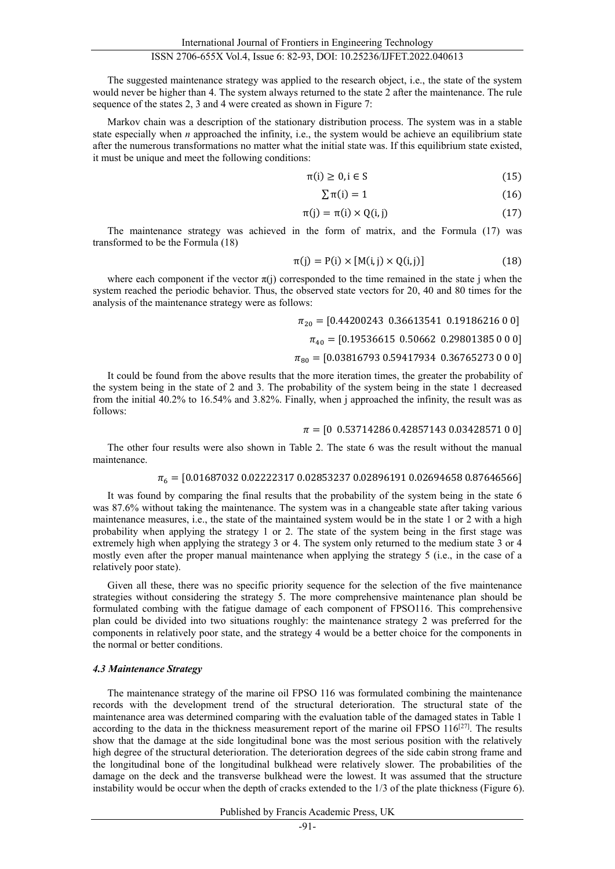The suggested maintenance strategy was applied to the research object, i.e., the state of the system would never be higher than 4. The system always returned to the state 2 after the maintenance. The rule sequence of the states 2, 3 and 4 were created as shown in Figure 7:

Markov chain was a description of the stationary distribution process. The system was in a stable state especially when *n* approached the infinity, i.e., the system would be achieve an equilibrium state after the numerous transformations no matter what the initial state was. If this equilibrium state existed, it must be unique and meet the following conditions:

$$
\pi(i) \ge 0, i \in S \tag{15}
$$

$$
\sum \pi(i) = 1 \tag{16}
$$

$$
\pi(j) = \pi(i) \times Q(i, j) \tag{17}
$$

The maintenance strategy was achieved in the form of matrix, and the Formula (17) was transformed to be the Formula (18)

$$
\pi(j) = P(i) \times [M(i, j) \times Q(i, j)] \tag{18}
$$

where each component if the vector  $\pi(j)$  corresponded to the time remained in the state j when the system reached the periodic behavior. Thus, the observed state vectors for 20, 40 and 80 times for the analysis of the maintenance strategy were as follows:

 $\pi_{20}$  = [0.44200243 0.36613541 0.19186216 0 0]

 $\pi_{40}$  = [0.19536615 0.50662 0.29801385 0 0 0]

$$
\pi_{80} = [0.03816793\ 0.59417934\ 0.36765273\ 0\ 0\ 0]
$$

It could be found from the above results that the more iteration times, the greater the probability of the system being in the state of 2 and 3. The probability of the system being in the state 1 decreased from the initial 40.2% to 16.54% and 3.82%. Finally, when j approached the infinity, the result was as follows:

## $\pi = [0 \; 0.53714286 \; 0.42857143 \; 0.03428571 \; 0 \; 0]$

The other four results were also shown in Table 2. The state 6 was the result without the manual maintenance.

#### $\pi_6 = [0.01687032\ 0.02222317\ 0.02853237\ 0.02896191\ 0.02694658\ 0.87646566]$

It was found by comparing the final results that the probability of the system being in the state 6 was 87.6% without taking the maintenance. The system was in a changeable state after taking various maintenance measures, i.e., the state of the maintained system would be in the state 1 or 2 with a high probability when applying the strategy 1 or 2. The state of the system being in the first stage was extremely high when applying the strategy 3 or 4. The system only returned to the medium state 3 or 4 mostly even after the proper manual maintenance when applying the strategy 5 (i.e., in the case of a relatively poor state).

Given all these, there was no specific priority sequence for the selection of the five maintenance strategies without considering the strategy 5. The more comprehensive maintenance plan should be formulated combing with the fatigue damage of each component of FPSO116. This comprehensive plan could be divided into two situations roughly: the maintenance strategy 2 was preferred for the components in relatively poor state, and the strategy 4 would be a better choice for the components in the normal or better conditions.

#### *4.3 Maintenance Strategy*

The maintenance strategy of the marine oil FPSO 116 was formulated combining the maintenance records with the development trend of the structural deterioration. The structural state of the maintenance area was determined comparing with the evaluation table of the damaged states in Table 1 according to the data in the thickness measurement report of the marine oil FPSO  $116^{[27]}$ . The results show that the damage at the side longitudinal bone was the most serious position with the relatively high degree of the structural deterioration. The deterioration degrees of the side cabin strong frame and the longitudinal bone of the longitudinal bulkhead were relatively slower. The probabilities of the damage on the deck and the transverse bulkhead were the lowest. It was assumed that the structure instability would be occur when the depth of cracks extended to the 1/3 of the plate thickness (Figure 6).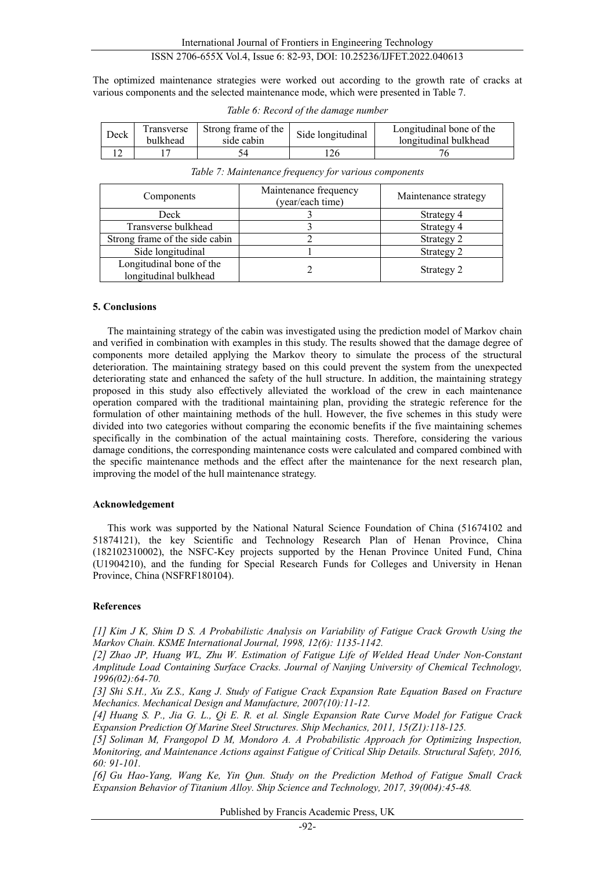The optimized maintenance strategies were worked out according to the growth rate of cracks at various components and the selected maintenance mode, which were presented in Table 7.

*Table 6: Record of the damage number*

| Deck | Fransverse<br><b>bulkhead</b> | Strong frame of the<br>side cabin | Side longitudinal | Longitudinal bone of the<br>longitudinal bulkhead |
|------|-------------------------------|-----------------------------------|-------------------|---------------------------------------------------|
|      |                               |                                   |                   |                                                   |

| Table 7: Maintenance frequency for various components |  |  |
|-------------------------------------------------------|--|--|
|                                                       |  |  |
|                                                       |  |  |

| Components                                        | Maintenance frequency<br>(year/each time) | Maintenance strategy |
|---------------------------------------------------|-------------------------------------------|----------------------|
| Deck                                              |                                           | Strategy 4           |
| Transverse bulkhead                               |                                           | Strategy 4           |
| Strong frame of the side cabin                    |                                           | Strategy 2           |
| Side longitudinal                                 |                                           | Strategy 2           |
| Longitudinal bone of the<br>longitudinal bulkhead |                                           | Strategy 2           |

# **5. Conclusions**

The maintaining strategy of the cabin was investigated using the prediction model of Markov chain and verified in combination with examples in this study. The results showed that the damage degree of components more detailed applying the Markov theory to simulate the process of the structural deterioration. The maintaining strategy based on this could prevent the system from the unexpected deteriorating state and enhanced the safety of the hull structure. In addition, the maintaining strategy proposed in this study also effectively alleviated the workload of the crew in each maintenance operation compared with the traditional maintaining plan, providing the strategic reference for the formulation of other maintaining methods of the hull. However, the five schemes in this study were divided into two categories without comparing the economic benefits if the five maintaining schemes specifically in the combination of the actual maintaining costs. Therefore, considering the various damage conditions, the corresponding maintenance costs were calculated and compared combined with the specific maintenance methods and the effect after the maintenance for the next research plan, improving the model of the hull maintenance strategy.

# **Acknowledgement**

This work was supported by the National Natural Science Foundation of China (51674102 and 51874121), the key Scientific and Technology Research Plan of Henan Province, China (182102310002), the NSFC-Key projects supported by the Henan Province United Fund, China (U1904210), and the funding for Special Research Funds for Colleges and University in Henan Province, China (NSFRF180104).

# **References**

<span id="page-10-0"></span>*[1] Kim J K, Shim D S. A Probabilistic Analysis on Variability of Fatigue Crack Growth Using the Markov Chain. KSME International Journal, 1998, 12(6): 1135-1142.*

*[2] Zhao JP, Huang WL, Zhu W. Estimation of Fatigue Life of Welded Head Under Non-Constant Amplitude Load Containing Surface Cracks. Journal of Nanjing University of Chemical Technology, 1996(02):64-70.*

*[3] Shi S.H., Xu Z.S., Kang J. Study of Fatigue Crack Expansion Rate Equation Based on Fracture Mechanics. Mechanical Design and Manufacture, 2007(10):11-12.*

<span id="page-10-1"></span>*[4] Huang S. P., Jia G. L., Qi E. R. et al. Single Expansion Rate Curve Model for Fatigue Crack Expansion Prediction Of Marine Steel Structures. Ship Mechanics, 2011, 15(Z1):118-125.*

<span id="page-10-2"></span>*[5] Soliman M, Frangopol D M, Mondoro A. A Probabilistic Approach for Optimizing Inspection, Monitoring, and Maintenance Actions against Fatigue of Critical Ship Details. Structural Safety, 2016, 60: 91-101.*

<span id="page-10-3"></span>*[6] Gu Hao-Yang, Wang Ke, Yin Qun. Study on the Prediction Method of Fatigue Small Crack Expansion Behavior of Titanium Alloy. Ship Science and Technology, 2017, 39(004):45-48.*